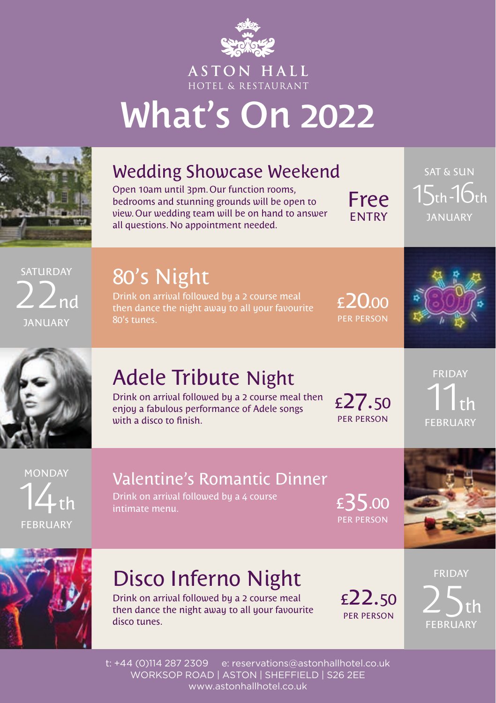

**ASTON HALL** HOTEL & RESTAURANT

# What's On 2022



## Wedding Showcase Weekend

Open 10am until 3pm. Our function rooms, bedrooms and stunning grounds will be open to view. Our wedding team will be on hand to answer all questions. No appointment needed.

Free ENTRY

SAT & SUN  $15$ th- $16$ th January

SATURDAY  $2$   $2$ nd JANUARY

# 80's Night

Drink on arrival followed by a 2 course meal then dance the night away to all your favourite 80's tunes.

£20.00 PER PERSON





# Adele Tribute Night

Drink on arrival followed by a 2 course meal then enjoy a fabulous performance of Adele songs with a disco to finish.

£27.50 PER PERSON

FRIDAY  $11<sub>th</sub>$ FEBRUARY

**MONDAY**  $14$ th FEBRUARY

#### Valentine's Romantic Dinner

Drink on arrival followed by a 4 course intimate menu.

£35.00 PER PERSON





# Disco Inferno Night

Drink on arrival followed by a 2 course meal then dance the night away to all your favourite disco tunes.

£22.50 PER PERSON

FRIDAY  $25<sub>th</sub>$ FEBRUARY

t: +44 (0)114 287 2309 e: reservations@astonhallhotel.co.uk WORKSOP ROAD | ASTON | SHEFFIELD | S26 2EE www.astonhallhotel.co.uk